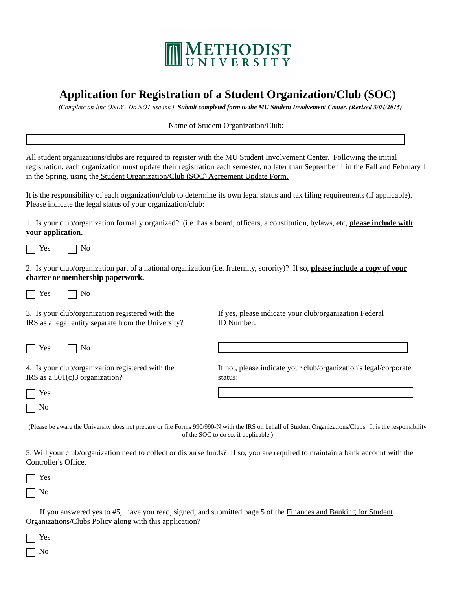

## **Application for Registration of a Student Organization/Club (SOC)**

 *(Complete on-line ONLY. Do NOT use ink.) Submit completed form to the MU Student Involvement Center. (Revised 3/04/2015)* 

## Name of Student Organization/Club:

All student organizations/clubs are required to register with the MU Student Involvement Center. Following the initial registration, each organization must update their registration each semester, no later than September 1 in the Fall and February 1 in the Spring, using the Student Organization/Club (SOC) Agreement Update Form.

It is the responsibility of each organization/club to determine its own legal status and tax filing requirements (if applicable). Please indicate the legal status of your organization/club:

1. Is your club/organization formally organized? (i.e. has a board, officers, a constitution, bylaws, etc, **please include with your application.**

 $\bigcap$  Yes  $\bigcap$  No

2. Is your club/organization part of a national organization (i.e. fraternity, sorority)? If so, **please include a copy of your charter or membership paperwork.**

 $\Box$  Yes  $\Box$  No

3. Is your club/organization registered with the IRS as a legal entity separate from the University?

 $Yes \qquad \Box No$ 

4. Is your club/organization registered with the IRS as a 501(c)3 organization?

| es |
|----|
| J  |

If yes, please indicate your club/organization Federal ID Number:

If not, please indicate your club/organization's legal/corporate status:

(Please be aware the University does not prepare or file Forms 990/990-N with the IRS on behalf of Student Organizations/Clubs. It is the responsibility of the SOC to do so, if applicable.)

5. Will your club/organization need to collect or disburse funds? If so, you are required to maintain a bank account with the Controller's Office.

Yes No

 If you answered yes to #5, have you read, signed, and submitted page 5 of the Finances and Banking for Student Organizations/Clubs Policy along with this application?

Yes

No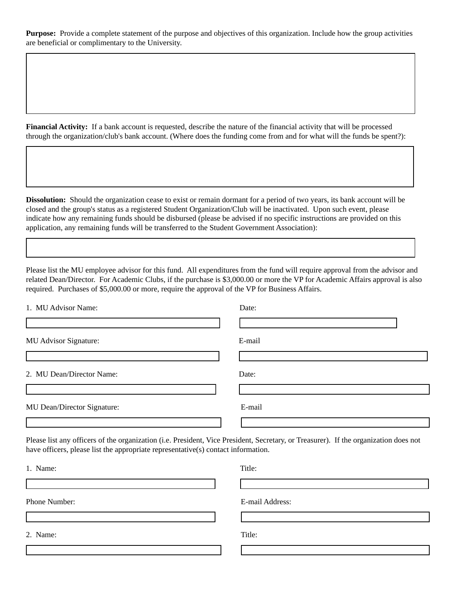**Purpose:** Provide a complete statement of the purpose and objectives of this organization. Include how the group activities are beneficial or complimentary to the University.

**Financial Activity:** If a bank account is requested, describe the nature of the financial activity that will be processed through the organization/club's bank account. (Where does the funding come from and for what will the funds be spent?):

**Dissolution:** Should the organization cease to exist or remain dormant for a period of two years, its bank account will be closed and the group's status as a registered Student Organization/Club will be inactivated. Upon such event, please indicate how any remaining funds should be disbursed (please be advised if no specific instructions are provided on this application, any remaining funds will be transferred to the Student Government Association):

Please list the MU employee advisor for this fund. All expenditures from the fund will require approval from the advisor and related Dean/Director. For Academic Clubs, if the purchase is \$3,000.00 or more the VP for Academic Affairs approval is also required. Purchases of \$5,000.00 or more, require the approval of the VP for Business Affairs.

| 1. MU Advisor Name:         | Date:  |
|-----------------------------|--------|
|                             |        |
| MU Advisor Signature:       | E-mail |
|                             |        |
| 2. MU Dean/Director Name:   | Date:  |
|                             |        |
| MU Dean/Director Signature: | E-mail |
|                             |        |

Please list any officers of the organization (i.e. President, Vice President, Secretary, or Treasurer). If the organization does not have officers, please list the appropriate representative(s) contact information.

| 1. Name:      | Title:          |
|---------------|-----------------|
|               |                 |
| Phone Number: | E-mail Address: |
|               |                 |
| 2. Name:      | Title:          |
|               |                 |